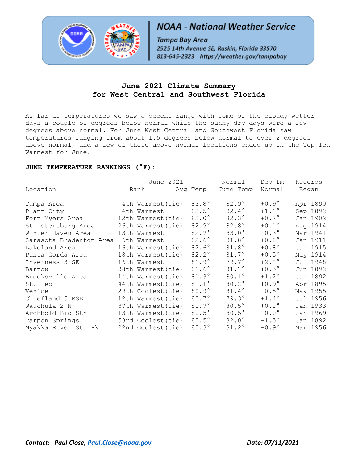

# **NOAA - National Weather Service**

Tampa Bay Area 2525 14th Avenue SE, Ruskin, Florida 33570 813-645-2323 https://weather.gov/tampabay

### **June 2021 Climate Summary for West Central and Southwest Florida**

As far as temperatures we saw a decent range with some of the cloudy wetter days a couple of degrees below normal while the sunny dry days were a few degrees above normal. For June West Central and Southwest Florida saw temperatures ranging from about 1.5 degrees below normal to over 2 degrees above normal, and a few of these above normal locations ended up in the Top Ten Warmest for June.

### **JUNE TEMPERATURE RANKINGS (°F):**

|                         | June 2021                                                                                                                                                                                                                       |                | Normal         | Dep fm Records |          |
|-------------------------|---------------------------------------------------------------------------------------------------------------------------------------------------------------------------------------------------------------------------------|----------------|----------------|----------------|----------|
| Location                | Rank and the set of the set of the set of the set of the set of the set of the set of the set of the set of the set of the set of the set of the set of the set of the set of the set of the set of the set of the set of the s | Avg Temp       | June Temp      | Normal Began   |          |
| Tampa Area              | 4th Warmest (tie)                                                                                                                                                                                                               | 83.8°          | $82.9^\circ$   | $+0.9^{\circ}$ | Apr 1890 |
| Plant City              | 4th Warmest                                                                                                                                                                                                                     | $83.5^\circ$   | 82.4°          | $+1.1^\circ$   | Sep 1892 |
| Fort Myers Area         | 12th Warmest(tie)                                                                                                                                                                                                               | $83.0^\circ$   | $82.3^\circ$   | $+0.7^{\circ}$ | Jan 1902 |
| St Petersburg Area      | 26th Warmest (tie)                                                                                                                                                                                                              | $82.9^\circ$   | $82.8^\circ$   | $+0.1^{\circ}$ | Aug 1914 |
| Winter Haven Area       | 13th Warmest                                                                                                                                                                                                                    | 82.7°          | $83.0^\circ$   | $-0.3^{\circ}$ | Mar 1941 |
| Sarasota-Bradenton Area | 6th Warmest                                                                                                                                                                                                                     | $82.6^\circ$   | 81.8°          | $+0.8^{\circ}$ | Jan 1911 |
| Lakeland Area           | 16th Warmest (tie)                                                                                                                                                                                                              | 82.6°          | 81.8°          | $+0.8^{\circ}$ | Jan 1915 |
| Punta Gorda Area        | 18th Warmest(tie)                                                                                                                                                                                                               | $82.2^\circ$   | $81.7^\circ$   | $+0.5^{\circ}$ | May 1914 |
| Inverness 3 SE          | 16th Warmest                                                                                                                                                                                                                    | $81.9^\circ$   | $79.7^\circ$   | $+2.2^\circ$   | Jul 1948 |
| Bartow                  | 38th Warmest (tie)                                                                                                                                                                                                              | 81.6°          | $81.1^{\circ}$ | $+0.5^\circ$   | Jun 1892 |
| Brooksville Area        | 14th Warmest (tie)                                                                                                                                                                                                              | $81.3^\circ$   | $80.1^\circ$   | $+1.2^{\circ}$ | Jan 1892 |
| St. Leo                 | 44th Warmest (tie)                                                                                                                                                                                                              | $81.1^{\circ}$ | $80.2^\circ$   | $+0.9^{\circ}$ | Apr 1895 |
| Venice                  | 29th Coolest(tie)                                                                                                                                                                                                               | $80.9^\circ$   | $81.4^{\circ}$ | $-0.5^{\circ}$ | May 1955 |
| Chiefland 5 ESE         | 12th Warmest (tie)                                                                                                                                                                                                              | 80.7°          | $79.3^\circ$   | $+1.4^{\circ}$ | Jul 1956 |
| Wauchula 2 N            | 37th Warmest (tie)                                                                                                                                                                                                              | 80.7°          | $80.5^\circ$   | $+0.2^{\circ}$ | Jan 1933 |
| Archbold Bio Stn        | 13th Warmest (tie)                                                                                                                                                                                                              | $80.5^\circ$   | $80.5^\circ$   | $0.0^{\circ}$  | Jan 1969 |
| Tarpon Springs          | 53rd Coolest (tie)                                                                                                                                                                                                              | $80.5^\circ$   | $82.0^\circ$   | $-1.5^{\circ}$ | Jan 1892 |
| Myakka River St. Pk     | 22nd Coolest (tie)                                                                                                                                                                                                              | $80.3^\circ$   | $81.2^{\circ}$ | $-0.9^{\circ}$ | Mar 1956 |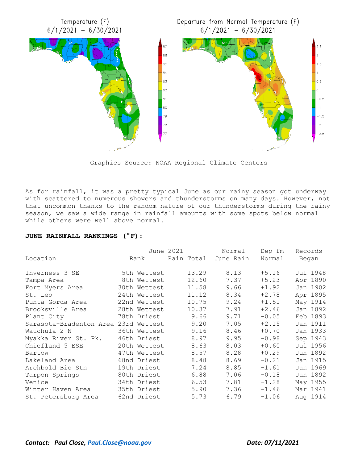

Graphics Source: NOAA Regional Climate Centers

As for rainfall, it was a pretty typical June as our rainy season got underway with scattered to numerous showers and thunderstorms on many days. However, not that uncommon thanks to the random nature of our thunderstorms during the rainy season, we saw a wide range in rainfall amounts with some spots below normal while others were well above normal.

#### **JUNE RAINFALL RANKINGS (°F):**

|                                      |              | June 2021 | Normal               | Dep fm  | Records  |
|--------------------------------------|--------------|-----------|----------------------|---------|----------|
| Location                             | Rank         |           | Rain Total June Rain | Normal  | Began    |
| Inverness 3 SE                       | 5th Wettest  | 13.29     | 8.13                 | $+5.16$ | Jul 1948 |
| Tampa Area                           | 8th Wettest  | 12.60     | 7.37                 | $+5.23$ | Apr 1890 |
| Fort Myers Area                      | 30th Wettest | 11.58     | 9.66                 | $+1.92$ | Jan 1902 |
| St. Leo                              | 24th Wettest | 11.12     | 8.34                 | $+2.78$ | Apr 1895 |
| Punta Gorda Area                     | 22nd Wettest | 10.75     | 9.24                 | $+1.51$ | May 1914 |
| Brooksville Area                     | 28th Wettest | 10.37     | 7.91                 | $+2.46$ | Jan 1892 |
| Plant City                           | 78th Driest  | 9.66      | 9.71                 | $-0.05$ | Feb 1893 |
| Sarasota-Bradenton Area 23rd Wettest |              | 9.20      | 7.05                 | $+2.15$ | Jan 1911 |
| Wauchula 2 N                         | 36th Wettest | 9.16      | 8.46                 | $+0.70$ | Jan 1933 |
| Myakka River St. Pk.                 | 46th Driest  | 8.97      | 9.95                 | $-0.98$ | Sep 1943 |
| Chiefland 5 ESE                      | 20th Wettest | 8.63      | 8.03                 | $+0.60$ | Jul 1956 |
| Bartow                               | 47th Wettest | 8.57      | 8.28                 | $+0.29$ | Jun 1892 |
| Lakeland Area                        | 68nd Driest  | 8.48      | 8.69                 | $-0.21$ | Jan 1915 |
| Archbold Bio Stn                     | 19th Driest  | 7.24      | 8.85                 | $-1.61$ | Jan 1969 |
| Tarpon Springs                       | 80th Driest  | 6.88      | 7.06                 | $-0.18$ | Jan 1892 |
| Venice                               | 34th Driest  | 6.53      | 7.81                 | $-1.28$ | May 1955 |
| Winter Haven Area                    | 35th Driest  | 5.90      | 7.36                 | $-1.46$ | Mar 1941 |
| St. Petersburg Area                  | 62nd Driest  | 5.73      | 6.79                 | $-1.06$ | Aug 1914 |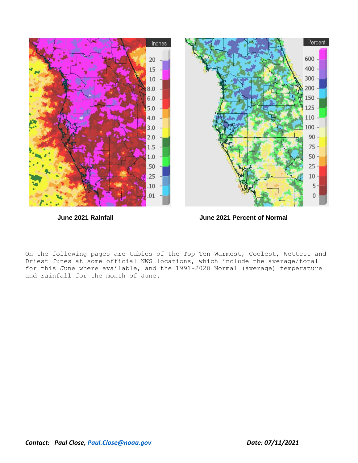

 **June 2021 Rainfall June 2021 Percent of Normal**

On the following pages are tables of the Top Ten Warmest, Coolest, Wettest and Driest Junes at some official NWS locations, which include the average/total for this June where available, and the 1991-2020 Normal (average) temperature and rainfall for the month of June.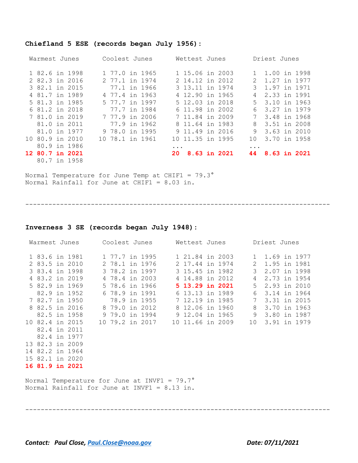## **Chiefland 5 ESE (records began July 1956):**

| Warmest Junes   | Coolest Junes   | Wettest Junes          | Driest Junes                   |
|-----------------|-----------------|------------------------|--------------------------------|
| 1 82.6 in 1998  | 1 77.0 in 1965  | 1 15.06 in 2003        | 1.00 in 1998                   |
| 2 82.3 in 2016  | 2 77.1 in 1974  | 2 14.12 in 2012        | 1.27 in 1977<br>2              |
| 3 82.1 in 2015  | 77.1 in 1966    | 3 13.11 in 1974        | 1.97 in 1971<br>3              |
| 4 81.7 in 1989  | 4 77.4 in 1963  | 4 12,90 in 1965        | 2.33 in 1991<br>$\overline{4}$ |
| 5 81.3 in 1985  | 5 77.7 in 1997  | 5 12.03 in 2018        | 5 3.10 in 1963                 |
| 6 81.2 in 2018  | 77.7 in 1984    | 6 11.98 in 2002        | 3.27 in 1979<br>6              |
| 7 81.0 in 2019  | 7 77.9 in 2006  | 7 11.84 in 2009        | 3.48 in 1968<br>7 <sup>7</sup> |
| 81.0 in 2011    | 77.9 in 1962    | 8 11.64 in 1983        | 3.51 in 2008<br>8              |
| 81.0 in 1977    | 9 78.0 in 1995  | 9 11.49 in 2016        | 9 3.63 in 2010                 |
| 10 80.9 in 2010 | 10 78.1 in 1961 | 10 11.35 in 1995       | 3.70 in 1958<br>1 O            |
| 80.9 in 1986    |                 | $\ddot{\phantom{0}}$ . | $\ddotsc$                      |
| 12 80.7 in 2021 |                 | 8.63 in 2021<br>20     | 8.63 in 2021<br>44             |
| 80.7 in 1958    |                 |                        |                                |

Normal Temperature for June Temp at CHIF1 = 79.3° Normal Rainfall for June at CHIF1 = 8.03 in.

-------------------------------------------------------------------------------

#### **Inverness 3 SE (records began July 1948):**

| Warmest Junes   | Coolest Junes                                                                                         | Wettest Junes                                                | Driest Junes       |
|-----------------|-------------------------------------------------------------------------------------------------------|--------------------------------------------------------------|--------------------|
|                 |                                                                                                       | 1 83.6 in 1981 1 77.7 in 1995 1 21.84 in 2003 1 1.69 in 1977 |                    |
| 2 83.5 in 2010  | 2 78.1 in 1976                                                                                        | 2 17.44 in 1974                                              | 2 1.95 in 1981     |
| 3 83.4 in 1998  | 3 78.2 in 1997                                                                                        | 3 15.45 in 1982                                              | 3<br>2.07 in 1998  |
| 4 83.2 in 2019  | 4 78.4 in 2003                                                                                        | 4 14.88 in 2012                                              | 2.73 in 1954<br>4  |
| 5 82.9 in 1969  | 5 78.6 in 1966                                                                                        | 5 13.29 in 2021                                              | 5<br>2.93 in 2010  |
| 82.9 in 1952    | 6 78.9 in 1991                                                                                        | 6 13.13 in 1989                                              | 3.14 in 1964<br>6  |
| 7 82.7 in 1950  | 78.9 in 1955                                                                                          | 7 12.19 in 1985                                              | 7<br>3.31 in 2015  |
| 8 82.5 in 2016  | 8 79.0 in 2012                                                                                        | 8 12.06 in 1960                                              | 8<br>3.70 in 1963  |
| 82.5 in 1958    | 9 79.0 in 1994                                                                                        | 9 12.04 in 1965                                              | 9<br>3.80 in 1987  |
| 10 82.4 in 2015 | 10 79.2 in 2017                                                                                       | 10 11.66 in 2009                                             | 10<br>3.91 in 1979 |
| 82.4 in 2011    |                                                                                                       |                                                              |                    |
| 82.4 in 1977    |                                                                                                       |                                                              |                    |
| 13 82.3 in 2009 |                                                                                                       |                                                              |                    |
| 14 82.2 in 1964 |                                                                                                       |                                                              |                    |
| 15 82.1 in 2020 |                                                                                                       |                                                              |                    |
| 16 81.9 in 2021 |                                                                                                       |                                                              |                    |
|                 | Normal Temperature for June at INVF1 = $79.7^\circ$<br>Normal Rainfall for June at INVF1 = $8.13$ in. |                                                              |                    |

-------------------------------------------------------------------------------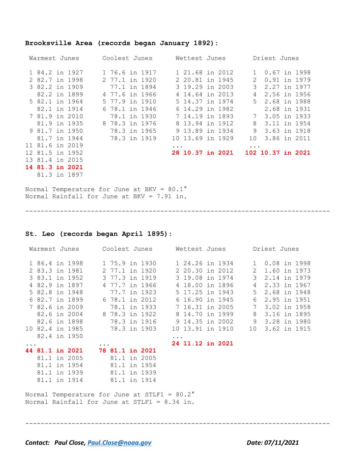### **Brooksville Area (records began January 1892):**

| Warmest Junes   |  | Coolest Junes<br>Wettest Junes |                |  |          |  | Driest Junes |                  |                |                   |  |
|-----------------|--|--------------------------------|----------------|--|----------|--|--------------|------------------|----------------|-------------------|--|
| 1 84.2 in 1927  |  |                                | 1 76.6 in 1917 |  |          |  |              | 1 21.68 in 2012  | $\mathbf{1}$   | 0.67 in 1998      |  |
| 2 82.7 in 1998  |  |                                | 2 77.1 in 1920 |  |          |  |              | 2 20.81 in 1945  | 2              | 0.91 in 1979      |  |
| 3 82.2 in 1909  |  |                                | 77.1 in 1894   |  |          |  |              | 3 19.29 in 2003  | 3              | 2.27 in 1977      |  |
| 82.2 in 1899    |  |                                | 4 77.6 in 1966 |  |          |  |              | 4 14.64 in 2013  | 4              | 2.56 in 1956      |  |
| 5 82.1 in 1964  |  |                                | 5 77.9 in 1910 |  |          |  |              | 5 14.37 in 1974  | $5 -$          | 2.68 in 1988      |  |
| 82.1 in 1914    |  |                                | 6 78.1 in 1946 |  |          |  |              | 6 14.29 in 1982  |                | 2.68 in 1931      |  |
| 7 81.9 in 2010  |  |                                | 78.1 in 1930   |  |          |  |              | 7 14.19 in 1893  | 7 <sup>7</sup> | 3.05 in 1933      |  |
| 81.9 in 1935    |  |                                | 8 78.3 in 1976 |  |          |  |              | 8 13.94 in 1912  | 8              | 3.11 in 1954      |  |
| 9 81.7 in 1950  |  |                                | 78.3 in 1965   |  |          |  |              | 9 13.89 in 1934  | 9              | 3.63 in 1918      |  |
| 81.7 in 1944    |  |                                | 78.3 in 1919   |  |          |  |              | 10 13.69 in 1929 | 10             | 3.86 in 2011      |  |
| 11 81.6 in 2019 |  |                                |                |  | $\cdots$ |  |              |                  | $\cdots$       |                   |  |
| 12 81.5 in 1952 |  |                                |                |  |          |  |              | 28 10.37 in 2021 |                | 102 10.37 in 2021 |  |
| 13 81.4 in 2015 |  |                                |                |  |          |  |              |                  |                |                   |  |
| 14 81.3 in 2021 |  |                                |                |  |          |  |              |                  |                |                   |  |
| 81.3 in 1897    |  |                                |                |  |          |  |              |                  |                |                   |  |

-------------------------------------------------------------------------------

Normal Temperature for June at BKV =  $80.1^\circ$ Normal Rainfall for June at BKV = 7.91 in.

#### **St. Leo (records began April 1895):**

| Warmest Junes   |  | Coolest Junes          |  | Wettest Junes    |  |                | Driest Junes    |  |
|-----------------|--|------------------------|--|------------------|--|----------------|-----------------|--|
| 1 86.4 in 1998  |  | 1 75.9 in 1930         |  | 1 24.26 in 1934  |  | $\mathbf{1}$   | 0.08 in 1998    |  |
| 2 83.3 in 1981  |  | 2 77.1 in 1920         |  | 2 20.30 in 2012  |  | $\overline{2}$ | 1.60 in 1973    |  |
| 3 83.1 in 1952  |  | 3 77.3 in 1919         |  | 3 19.08 in 1974  |  | $\mathcal{E}$  | 2.14 in 1979    |  |
| 4 82.9 in 1897  |  | 4 77.7 in 1966         |  | 4 18.00 in 1896  |  | 4              | 2.33 in 1967    |  |
| 5 82.8 in 1948  |  | 77.7 in 1923           |  | 5 17.25 in 1943  |  | 5              | 2.68 in 1948    |  |
| 6 82.7 in 1899  |  | 6 78.1 in 2012         |  | 6 16.90 in 1945  |  | 6              | 2.95 in 1951    |  |
| 7 82.6 in 2009  |  | 78.1 in 1933           |  | 7 16.31 in 2005  |  | 7              | 3.02 in 1958    |  |
| 82.6 in 2004    |  | 8 78.3 in 1922         |  | 8 14.70 in 1999  |  | 8              | 3.16 in 1895    |  |
| 82.6 in 1898    |  | 78.3 in 1916           |  | 9 14.35 in 2002  |  | 9              | 3.28 in 1980    |  |
| 10 82.4 in 1985 |  | 78.3 in 1903           |  | 10 13.91 in 1910 |  |                | 10 3.62 in 1915 |  |
| 82.4 in 1950    |  |                        |  |                  |  |                |                 |  |
|                 |  |                        |  | 24 11.12 in 2021 |  |                |                 |  |
| 44 81.1 in 2021 |  | <b>78 81.1 in 2021</b> |  |                  |  |                |                 |  |
| 81.1 in 2005    |  | 81.1 in 2005           |  |                  |  |                |                 |  |
| 81.1 in 1954    |  | 81.1 in 1954           |  |                  |  |                |                 |  |
| 81.1 in 1939    |  | 81.1 in 1939           |  |                  |  |                |                 |  |
| 81.1 in 1914    |  | 81.1 in 1914           |  |                  |  |                |                 |  |

Normal Temperature for June at STLF1 = 80.2° Normal Rainfall for June at STLF1 = 8.34 in.

-------------------------------------------------------------------------------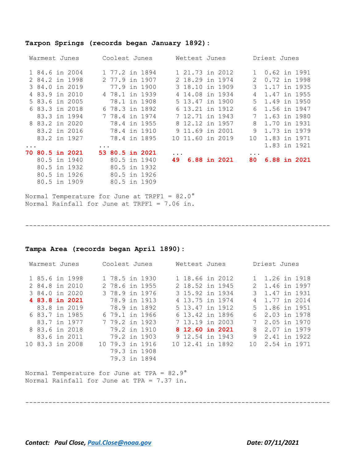#### **Tarpon Springs (records began January 1892):**

| Warmest Junes |                        |  | Coolest Junes |                 | Wettest Junes |           |                  | Driest Junes |              |           |              |  |              |
|---------------|------------------------|--|---------------|-----------------|---------------|-----------|------------------|--------------|--------------|-----------|--------------|--|--------------|
|               | 1 84.6 in 2004         |  |               | 1 77.2 in 1894  |               |           | 1 21.73 in 2012  |              |              |           | 0.62 in 1991 |  |              |
|               | 2 84.2 in 1998         |  |               | 2 77.9 in 1907  |               |           | 2 18.29 in 1974  |              |              | 2         | 0.72 in 1998 |  |              |
|               | 3 84.0 in 2019         |  |               |                 | 77.9 in 1900  |           | 3 18.10 in 1909  |              |              | 3         | 1.17 in 1935 |  |              |
|               | 4 83.9 in 2010         |  |               | 4 78.1 in 1939  |               |           | 4 14.08 in 1934  |              |              | 4         | 1.47 in 1955 |  |              |
|               | 5 83.6 in 2005         |  |               |                 | 78.1 in 1908  |           | 5 13.47 in 1900  |              |              | 5         | 1.49 in 1950 |  |              |
|               | 6 83.3 in 2018         |  |               | 6 78.3 in 1892  |               |           | 6 13.21 in 1912  |              |              | 6         | 1.56 in 1947 |  |              |
|               | 83.3 in 1994           |  |               | 7 78.4 in 1974  |               |           | 7 12.71 in 1943  |              |              | 7         | 1.63 in 1980 |  |              |
|               | 8 83.2 in 2020         |  |               | 78.4 in 1955    |               |           | 8 12.12 in 1957  |              |              | 8         | 1.70 in 1931 |  |              |
|               | 83.2 in 2016           |  |               | 78.4 in 1910    |               |           | 9 11.69 in 2001  |              |              | 9         | 1.73 in 1979 |  |              |
|               | 83.2 in 1927           |  |               | 78.4 in 1895    |               |           | 10 11,60 in 2019 |              |              | 10        | 1.83 in 1971 |  |              |
| $\ddotsc$     |                        |  | $\cdots$      |                 |               |           |                  |              |              |           |              |  | 1.83 in 1921 |
|               | <b>70 80.5 in 2021</b> |  |               | 53 80.5 in 2021 |               | $\ddotsc$ |                  |              |              | $\ddotsc$ |              |  |              |
|               | 80.5 in 1940           |  |               |                 | 80.5 in 1940  | 49        |                  |              | 6.88 in 2021 | 80        |              |  | 6.88 in 2021 |
|               | 80.5 in 1932           |  |               |                 | 80.5 in 1932  |           |                  |              |              |           |              |  |              |
|               | 80.5 in 1926           |  |               |                 | 80.5 in 1926  |           |                  |              |              |           |              |  |              |
|               | 80.5 in 1909           |  |               | 80.5 in 1909    |               |           |                  |              |              |           |              |  |              |

Normal Temperature for June at TRPF1 = 82.0° Normal Rainfall for June at TRPF1 = 7.06 in.

-------------------------------------------------------------------------------

#### **Tampa Area (records began April 1890):**

| Warmest Junes   |  | Coolest Junes |                 |  | Wettest Junes |  |  | Driest Junes     |  |  |                |                |  |  |
|-----------------|--|---------------|-----------------|--|---------------|--|--|------------------|--|--|----------------|----------------|--|--|
|                 |  |               |                 |  |               |  |  |                  |  |  |                |                |  |  |
| 1 85.6 in 1998  |  |               | 1 78.5 in 1930  |  |               |  |  | 1 18.66 in 2012  |  |  |                | 1.26 in 1918   |  |  |
| 2 84.8 in 2010  |  |               | 2 78.6 in 1955  |  |               |  |  | 2 18.52 in 1945  |  |  | 2              | 1.46 in 1997   |  |  |
| 3 84.0 in 2020  |  |               | 3 78.9 in 1976  |  |               |  |  | 3 15.92 in 1934  |  |  | 3              | 1.47 in 1931   |  |  |
| 4 83.8 in 2021  |  |               | 78.9 in 1913    |  |               |  |  | 4 13.75 in 1974  |  |  | 4              | 1.77 in 2014   |  |  |
| 83.8 in 2019    |  |               | 78.9 in 1892    |  |               |  |  | 5 13.47 in 1912  |  |  |                | 5 1.86 in 1951 |  |  |
| 6 83.7 in 1985  |  |               | 6 79.1 in 1966  |  |               |  |  | 6 13.42 in 1896  |  |  | 6              | 2.03 in 1978   |  |  |
| 83.7 in 1977    |  |               | 7 79.2 in 1923  |  |               |  |  | 7 13.19 in 2003  |  |  | $7\phantom{0}$ | 2.05 in 1970   |  |  |
| 8 83.6 in 2018  |  |               | 79.2 in 1910    |  |               |  |  | 8 12.60 in 2021  |  |  | 8              | 2.07 in 1979   |  |  |
| 83.6 in 2011    |  |               | 79.2 in 1903    |  |               |  |  | 9 12.54 in 1943  |  |  | 9              | 2.41 in 1922   |  |  |
| 10 83.3 in 2008 |  |               | 10 79.3 in 1916 |  |               |  |  | 10 12.41 in 1892 |  |  | 1 O            | 2.54 in 1971   |  |  |
|                 |  |               | 79.3 in 1908    |  |               |  |  |                  |  |  |                |                |  |  |
|                 |  |               | 79.3 in 1894    |  |               |  |  |                  |  |  |                |                |  |  |

-------------------------------------------------------------------------------

Normal Temperature for June at TPA = 82.9° Normal Rainfall for June at TPA = 7.37 in.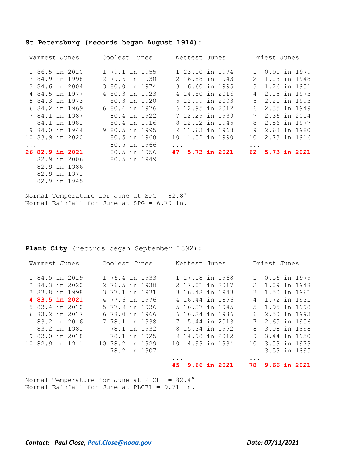#### **St Petersburg (records began August 1914):**

|          | Coolest Junes<br>Warmest Junes |  |  | Wettest Junes  |  |            | Driest Junes     |  |              |                 |              |
|----------|--------------------------------|--|--|----------------|--|------------|------------------|--|--------------|-----------------|--------------|
|          | 1 86.5 in 2010                 |  |  | 1 79.1 in 1955 |  |            | 1 23.00 in 1974  |  | $\mathbf{1}$ | 0.90 in 1979    |              |
|          | 2 84.9 in 1998                 |  |  | 2 79.6 in 1930 |  |            | 2 16.88 in 1943  |  | 2            | 1.03 in 1948    |              |
|          | 3 84.6 in 2004                 |  |  | 3 80.0 in 1974 |  |            | 3 16.60 in 1995  |  | 3            |                 | 1.26 in 1931 |
|          | 4 84.5 in 1977                 |  |  | 4 80.3 in 1923 |  |            | 4 14.80 in 2016  |  | 4            | 2.05 in 1973    |              |
|          | 5 84.3 in 1973                 |  |  | 80.3 in 1920   |  |            | 5 12.99 in 2003  |  | 5            | 2.21 in 1993    |              |
|          | 6 84.2 in 1969                 |  |  | 6 80.4 in 1976 |  |            | 6 12.95 in 2012  |  | 6            | 2.35 in 1949    |              |
|          | 7 84.1 in 1987                 |  |  | 80.4 in 1922   |  |            | 7 12.29 in 1939  |  | 7            |                 | 2.36 in 2004 |
|          | 84.1 in 1981                   |  |  | 80.4 in 1916   |  |            | 8 12.12 in 1945  |  | 8            | 2.56 in 1977    |              |
|          | 9 84.0 in 1944                 |  |  | 9 80.5 in 1995 |  |            | 9 11.63 in 1968  |  | 9            | 2.63 in 1980    |              |
|          | 10 83.9 in 2020                |  |  | 80.5 in 1968   |  |            | 10 11.02 in 1990 |  | 10           |                 | 2.73 in 1916 |
| $\ddots$ |                                |  |  | 80.5 in 1966   |  | $\ddots$ . |                  |  | $\ddotsc$    |                 |              |
|          | 26 82.9 in 2021                |  |  | 80.5 in 1956   |  |            | 47 5.73 in 2021  |  |              | 62 5.73 in 2021 |              |
|          | 82.9 in 2006                   |  |  | 80.5 in 1949   |  |            |                  |  |              |                 |              |
|          | 82.9 in 1986                   |  |  |                |  |            |                  |  |              |                 |              |
|          | 82.9 in 1971                   |  |  |                |  |            |                  |  |              |                 |              |
|          | 82.9 in 1945                   |  |  |                |  |            |                  |  |              |                 |              |
|          |                                |  |  |                |  |            |                  |  |              |                 |              |

Normal Temperature for June at SPG = 82.8° Normal Rainfall for June at SPG = 6.79 in.

-------------------------------------------------------------------------------

#### **Plant City** (records began September 1892):

| Warmest Junes   | Coolest Junes   | Wettest Junes      | Driest Junes          |
|-----------------|-----------------|--------------------|-----------------------|
| 1 84.5 in 2019  | 1 76.4 in 1933  | 1 17.08 in 1968    | 0.56 in 1979          |
| 2 84.3 in 2020  | 2 76.5 in 1930  | 2 17.01 in 2017    | 1.09 in 1948<br>2     |
| 3 83.8 in 1998  | 3 77.1 in 1931  | 3 16.48 in 1943    | 1.50 in 1961<br>3     |
| 4 83.5 in 2021  | 4 77.6 in 1976  | 4 16.44 in 1896    | 1.72 in 1931<br>4     |
| 5 83.4 in 2010  | 5 77.9 in 1936  | 5 16.37 in 1945    | 1.95 in 1998<br>$5 -$ |
| 6 83.2 in 2017  | 6 78.0 in 1966  | 6 16.24 in 1986    | 2.50 in 1993<br>6     |
| 83.2 in 2016    | 7 78.1 in 1938  | 7 15.44 in 2013    | 7<br>2.65 in 1956     |
| 83.2 in 1981    | 78.1 in 1932    | 8 15.34 in 1992    | 8<br>3.08 in 1898     |
| 9 83.0 in 2018  | 78.1 in 1925    | 9 14.98 in 2012    | 9<br>3.44 in 1950     |
| 10 82.9 in 1911 | 10 78.2 in 1929 | 10 14.93 in 1934   | 3.53 in 1973<br>1 O   |
|                 | 78.2 in 1907    |                    | 3.53 in 1895          |
|                 |                 | $\cdots$           | $\cdots$              |
|                 |                 | 9.66 in 2021<br>45 | 9.66 in 2021<br>78    |
|                 |                 |                    |                       |

Normal Temperature for June at PLCF1 = 82.4° Normal Rainfall for June at PLCF1 = 9.71 in.

-------------------------------------------------------------------------------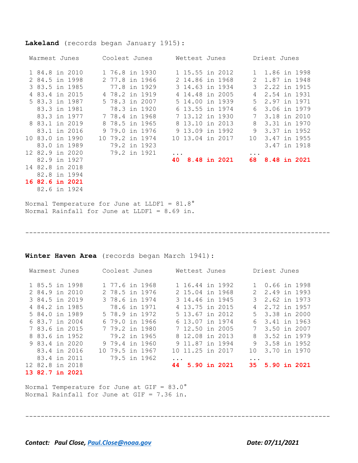#### **Lakeland** (records began January 1915):

| Warmest Junes |                 | Coolest Junes |                 |              | Wettest Junes |                  |                     | Driest Junes    |                |              |
|---------------|-----------------|---------------|-----------------|--------------|---------------|------------------|---------------------|-----------------|----------------|--------------|
|               | 1 84.8 in 2010  |               | 1 76.8 in 1930  |              |               | 1 15.55 in 2012  |                     |                 | 1 1.86 in 1998 |              |
|               | 2 84.5 in 1998  |               | 2 77.8 in 1966  |              |               | 2 14.86 in 1968  |                     | 2               | 1.87 in 1948   |              |
|               | 3 83.5 in 1985  |               |                 | 77.8 in 1929 |               | 3 14.63 in 1934  |                     | 3               | 2.22 in 1915   |              |
|               | 4 83.4 in 2015  |               | 4 78.2 in 1919  |              |               | 4 14.48 in 2005  |                     | 4               | 2.54 in 1931   |              |
|               | 5 83.3 in 1987  |               | 5 78.3 in 2007  |              |               | 5 14.00 in 1939  |                     | $5 -$           | 2.97 in 1971   |              |
|               | 83.3 in 1981    |               | 78.3 in 1920    |              |               | 6 13.55 in 1974  |                     | 6               | 3.06 in 1979   |              |
|               | 83.3 in 1977    |               | 7 78.4 in 1968  |              |               | 7 13.12 in 1930  |                     | 7               | 3.18 in 2010   |              |
|               | 8 83.1 in 2019  |               | 8 78.5 in 1965  |              |               | 8 13.10 in 2013  |                     | 8               | 3.31 in 1970   |              |
|               | 83.1 in 2016    |               | 9 79.0 in 1976  |              |               | 9 13.09 in 1992  |                     | 9               | 3.37 in 1952   |              |
|               | 10 83.0 in 1990 |               | 10 79.2 in 1974 |              |               | 10 13.04 in 2017 |                     | 10 <sup>°</sup> | 3.47 in 1955   |              |
|               | 83.0 in 1989    |               | 79.2 in 1923    |              |               |                  |                     |                 |                | 3.47 in 1918 |
|               | 12 82.9 in 2020 |               | 79.2 in 1921    |              |               |                  |                     | .               |                |              |
|               | 82.9 in 1927    |               |                 |              | 40            |                  | <b>8.48 in 2021</b> | 68.             |                | 8.48 in 2021 |
|               | 14 82.8 in 2018 |               |                 |              |               |                  |                     |                 |                |              |
|               | 82.8 in 1994    |               |                 |              |               |                  |                     |                 |                |              |
|               | 16 82.6 in 2021 |               |                 |              |               |                  |                     |                 |                |              |

82.6 in 1924

Normal Temperature for June at LLDF1 = 81.8° Normal Rainfall for June at LLDF1 = 8.69 in.

**Winter Haven Area** (records began March 1941):

| Warmest Junes          | Coolest Junes   | Wettest Junes      | Driest Junes              |
|------------------------|-----------------|--------------------|---------------------------|
| 1 85.5 in 1998         | 1 77.6 in 1968  | 1 16.44 in 1992    | 0.66 in 1998<br>1         |
| 2 84.9 in 2010         | 2 78.5 in 1976  | 2 15.04 in 1968    | 2.49 in 1993<br>2.        |
| 3 84.5 in 2019         | 3 78.6 in 1974  | 3 14.46 in 1945    | 3<br>2.62 in 1973         |
| 4 84.2 in 1985         | 78.6 in 1971    | 4 13.75 in 2015    | 2.72 in 1957<br>4         |
| 5 84.0 in 1989         | 5 78.9 in 1972  | 5 13.67 in 2012    | 5 3.38 in 2000            |
| 6 83.7 in 2004         | 6 79.0 in 1966  | 6 13.07 in 1974    | 3.41 in 1963<br>6         |
| 7 83.6 in 2015         | 7 79.2 in 1980  | 7 12.50 in 2005    | 7<br>3.50 in 2007         |
| 8 83.6 in 1952         | 79.2 in 1965    | 8 12.08 in 2013    | 3.52 in 1979<br>8         |
| 9 83.4 in 2020         | 9 79.4 in 1960  | 9 11.87 in 1994    | 9<br>3.58 in 1952         |
| 83.4 in 2016           | 10 79.5 in 1967 | 10 11.25 in 2017   | 3.70 in 1970<br>$10^{-1}$ |
| 83.4 in 2011           | 79.5 in 1962    | $\ddotsc$          | $\ddotsc$                 |
| 12 82.8 in 2018        |                 | 5.90 in 2021<br>44 | 35 5.90 in 2021           |
| <b>13 82.7 in 2021</b> |                 |                    |                           |

-------------------------------------------------------------------------------

-------------------------------------------------------------------------------

Normal Temperature for June at GIF = 83.0° Normal Rainfall for June at GIF = 7.36 in.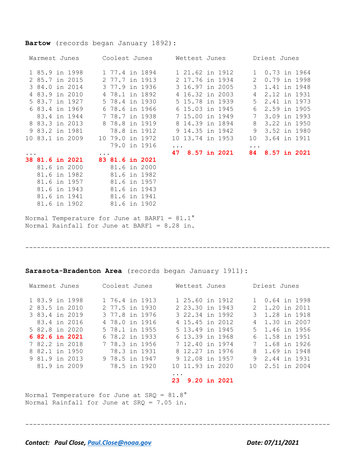#### **Bartow** (records began January 1892):

| Warmest Junes |                        |  | Coolest Junes |                        | Wettest Junes |  |                  |  |  | Driest Junes  |              |  |  |  |
|---------------|------------------------|--|---------------|------------------------|---------------|--|------------------|--|--|---------------|--------------|--|--|--|
|               | 1 85.9 in 1998         |  |               | 1 77.4 in 1894         |               |  | 1 21.62 in 1912  |  |  |               | 0.73 in 1964 |  |  |  |
|               | 2 85.7 in 2015         |  |               | 2 77.7 in 1913         |               |  | 2 17.76 in 1934  |  |  | $\mathcal{L}$ | 0.79 in 1998 |  |  |  |
|               | 3 84.0 in 2014         |  |               | 3 77.9 in 1936         |               |  | 3 16.97 in 2005  |  |  | 3             | 1.41 in 1948 |  |  |  |
|               | 4 83.9 in 2010         |  |               | 4 78.1 in 1892         |               |  | 4 16.32 in 2003  |  |  | 4             | 2.12 in 1931 |  |  |  |
|               | 5 83.7 in 1927         |  |               | 5 78.4 in 1930         |               |  | 5 15.78 in 1939  |  |  | 5             | 2.41 in 1973 |  |  |  |
|               | 6 83.4 in 1969         |  |               | 6 78.6 in 1966         |               |  | 6 15.03 in 1945  |  |  | 6             | 2.59 in 1905 |  |  |  |
|               | 83.4 in 1944           |  |               | 7 78.7 in 1938         |               |  | 7 15.00 in 1949  |  |  | 7             | 3.09 in 1993 |  |  |  |
|               | 8 83.3 in 2013         |  |               | 8 78.8 in 1919         |               |  | 8 14.39 in 1894  |  |  | 8             | 3.22 in 1950 |  |  |  |
|               | 9 83.2 in 1981         |  |               | 78.8 in 1912           |               |  | 9 14.35 in 1942  |  |  | 9             | 3.52 in 1980 |  |  |  |
|               | 10 83.1 in 2009        |  |               | 10 79.0 in 1972        |               |  | 10 13.74 in 1953 |  |  | 10            | 3.64 in 1911 |  |  |  |
|               |                        |  |               | 79.0 in 1916           |               |  |                  |  |  | $\ddotsc$     |              |  |  |  |
|               |                        |  |               |                        |               |  | 47 8.57 in 2021  |  |  | 84            | 8.57 in 2021 |  |  |  |
|               | <b>38 81.6 in 2021</b> |  |               | <b>83 81.6 in 2021</b> |               |  |                  |  |  |               |              |  |  |  |
|               | 81.6 in 2000           |  |               | 81.6 in 2000           |               |  |                  |  |  |               |              |  |  |  |
|               | 81.6 in 1982           |  |               | 81.6 in 1982           |               |  |                  |  |  |               |              |  |  |  |
|               | 81.6 in 1957           |  |               | 81.6 in 1957           |               |  |                  |  |  |               |              |  |  |  |
|               | 81.6 in 1943           |  |               | 81.6 in 1943           |               |  |                  |  |  |               |              |  |  |  |

Normal Temperature for June at BARF1 = 81.1° Normal Rainfall for June at BARF1 = 8.28 in.

81.6 in 1941 81.6 in 1941 81.6 in 1902 81.6 in 1902

#### -------------------------------------------------------------------------------

#### **Sarasota-Bradenton Area** (records began January 1911):

| Warmest Junes                                      | Coolest Junes                                      | Wettest Junes                                         | Driest Junes                                     |  |  |  |  |
|----------------------------------------------------|----------------------------------------------------|-------------------------------------------------------|--------------------------------------------------|--|--|--|--|
| 1 83.9 in 1998<br>2 83.5 in 2010<br>3 83.4 in 2019 | 1 76.4 in 1913<br>2 77.5 in 1930<br>3 77.8 in 1976 | 1 25.60 in 1912<br>2 23.30 in 1943<br>3 22.34 in 1992 | 0.64 in 1998<br>2 1.20 in 2011<br>3 1.28 in 1918 |  |  |  |  |
| 83.4 in 2016                                       | 4 78.0 in 1916                                     | 4 15.45 in 2012                                       | 1.30 in 2007<br>4                                |  |  |  |  |
| 5 82.8 in 2020                                     | 5 78.1 in 1955                                     | 5 13.49 in 1945                                       | 5 1.46 in 1956                                   |  |  |  |  |
| 6 82.6 in 2021                                     | 6 78.2 in 1933                                     | 6 13.39 in 1968                                       | 1.58 in 1951<br>6                                |  |  |  |  |
| 7 82.2 in 2018                                     | 7 78.3 in 1956                                     | 7 12.40 in 1974                                       | 1.68 in 1926                                     |  |  |  |  |
| 8 82.1 in 1950                                     | 78.3 in 1931                                       | 8 12.27 in 1976                                       | 1.69 in 1948<br>8                                |  |  |  |  |
| 9 81.9 in 2013                                     | 9 78.5 in 1947                                     | 9 12.08 in 1957                                       | 9<br>2.44 in 1931                                |  |  |  |  |
| 81.9 in 2009                                       | 78.5 in 1920                                       | 10 11.93 in 2020                                      | 10 2.51 in 2004                                  |  |  |  |  |
|                                                    |                                                    | $\cdots$<br>9.20 in 2021<br>23                        |                                                  |  |  |  |  |

Normal Temperature for June at SRQ = 81.8° Normal Rainfall for June at SRQ = 7.05 in.

-------------------------------------------------------------------------------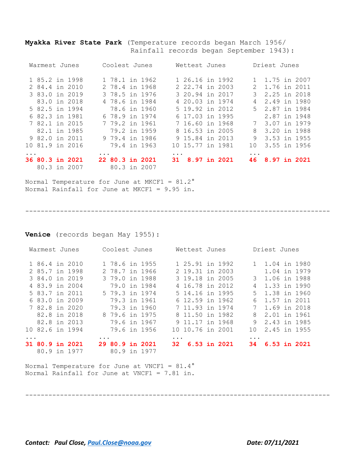**Myakka River State Park** (Temperature records began March 1956/ Rainfall records began September 1943):

|                         | Warmest Junes   |                 |           | Coolest Junes   |              |           | Wettest Junes    |              |                 | Driest Junes   |              |
|-------------------------|-----------------|-----------------|-----------|-----------------|--------------|-----------|------------------|--------------|-----------------|----------------|--------------|
|                         | 1 85.2 in 1998  |                 |           | 1 78.1 in 1962  |              |           | 1 26.16 in 1992  |              |                 | 1 1.75 in 2007 |              |
|                         | 2 84.4 in 2010  |                 |           | 2 78.4 in 1968  |              |           | 2 22.74 in 2003  |              | $2^{\circ}$     | 1.76 in 2011   |              |
|                         | 3 83.0 in 2019  |                 |           | 3 78.5 in 1976  |              |           | 3 20.94 in 2017  |              | 3               | 2.25 in 2018   |              |
|                         | 83.0 in 2018    |                 |           | 4 78.6 in 1984  |              |           | 4 20.03 in 1974  |              | 4               | 2.49 in 1980   |              |
|                         | 5 82.5 in 1994  |                 |           | 78.6 in 1960    |              |           | 5 19.92 in 2012  |              |                 | 5 2.87 in 1984 |              |
|                         | 6 82.3 in 1981  |                 |           | 6 78.9 in 1974  |              |           | 6 17.03 in 1995  |              |                 |                | 2.87 in 1948 |
|                         | 7 82.1 in 2015  |                 |           | 7 79.2 in 1961  |              |           | 7 16.60 in 1968  |              | $7\phantom{.0}$ | 3.07 in 1979   |              |
|                         | 82.1 in 1985    |                 |           | 79.2 in 1959    |              |           | 8 16.53 in 2005  |              | 8               | 3.20 in 1988   |              |
|                         | 9 82.0 in 2011  |                 |           | 9 79.4 in 1986  |              |           | 9 15.84 in 2013  |              | 9               | 3.53 in 1955   |              |
|                         |                 | 10 81.9 in 2016 |           |                 | 79.4 in 1963 |           | 10 15.77 in 1981 |              | 10.             |                | 3.55 in 1956 |
| $\cdot$ $\cdot$ $\cdot$ |                 |                 | $\ddotsc$ |                 |              | $\ddotsc$ |                  |              | $\ddotsc$       |                |              |
|                         | 36 80.3 in 2021 |                 |           | 22 80.3 in 2021 |              | 31.       |                  | 8.97 in 2021 | 46              |                | 8.97 in 2021 |
|                         | 80.3 in 2007    |                 |           |                 | 80.3 in 2007 |           |                  |              |                 |                |              |

Normal Temperature for June at MKCF1 =  $81.2^\circ$ Normal Rainfall for June at MKCF1 = 9.95 in.

-------------------------------------------------------------------------------

**Venice** (records began May 1955):

| Warmest Junes          |  |           | Coolest Junes   |              |           | Wettest Junes    |                |            | Driest Junes   |                |
|------------------------|--|-----------|-----------------|--------------|-----------|------------------|----------------|------------|----------------|----------------|
| 1 86.4 in 2010         |  |           | 1 78.6 in 1955  |              |           | 1 25.91 in 1992  |                |            | 1 1.04 in 1980 |                |
| 2 85.7 in 1998         |  |           | 2 78.7 in 1966  |              |           | 2 19.31 in 2003  |                |            | 1.04 in 1979   |                |
| 3 84.0 in 2019         |  |           | 3 79.0 in 1988  |              |           | 3 19.18 in 2005  |                | 3          | 1.06 in 1988   |                |
| 4 83.9 in 2004         |  |           | 79.0 in 1984    |              |           | 4 16.78 in 2012  |                | 4          | 1.33 in 1990   |                |
| 5 83.7 in 2011         |  |           | 5 79.3 in 1974  |              |           | 5 14.16 in 1995  |                | .5         | 1.38 in 1960   |                |
| 6 83.0 in 2009         |  |           | 79.3 in 1961    |              |           | 6 12.59 in 1962  |                | 6          | 1.57 in 2011   |                |
| 7 82.8 in 2020         |  |           | 79.3 in 1960    |              |           | 7 11.93 in 1974  |                | 7          | 1.69 in 2018   |                |
| 82.8 in 2018           |  |           | 8 79.6 in 1975  |              |           | 8 11.50 in 1982  |                | 8          | 2.01 in 1961   |                |
| 82.8 in 2013           |  |           | 79.6 in 1967    |              |           | 9 11.17 in 1968  |                | 9          | 2.43 in 1985   |                |
| 10 82.6 in 1994        |  |           |                 | 79.6 in 1956 |           | 10 10.76 in 2001 |                | 1 O        | 2.45 in 1955   |                |
|                        |  | $\ddotsc$ |                 |              | $\ddotsc$ |                  |                | $\ddots$ . |                |                |
| <b>31 80.9 in 2021</b> |  |           | 29 80.9 in 2021 |              | 32.       |                  | $6.53$ in 2021 | 34.        |                | $6.53$ in 2021 |
| 80.9 in 1977           |  |           | 80.9 in 1977    |              |           |                  |                |            |                |                |

-------------------------------------------------------------------------------

Normal Temperature for June at VNCF1 = 81.4° Normal Rainfall for June at VNCF1 = 7.81 in.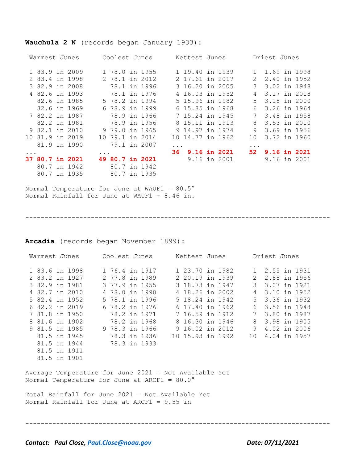## **Wauchula 2 N** (records began January 1933):

| Warmest Junes |                 |  |              | Coolest Junes |                 |              | Wettest Junes |                 |                  | Driest Junes  |              |  |              |  |
|---------------|-----------------|--|--------------|---------------|-----------------|--------------|---------------|-----------------|------------------|---------------|--------------|--|--------------|--|
|               | 1 83.9 in 2009  |  |              |               | 1 78.0 in 1955  |              |               |                 | 1 19.40 in 1939  |               | 1.69 in 1998 |  |              |  |
|               | 2 83.4 in 1998  |  |              |               | 2 78.1 in 2012  |              |               | 2 17.61 in 2017 |                  | $\mathcal{L}$ | 2.40 in 1952 |  |              |  |
|               | 3 82.9 in 2008  |  |              |               |                 | 78.1 in 1996 |               |                 | 3 16.20 in 2005  | 3             | 3.02 in 1948 |  |              |  |
|               | 4 82.6 in 1993  |  |              |               |                 | 78.1 in 1976 |               |                 | 4 16.03 in 1952  | 4             |              |  | 3.17 in 2018 |  |
|               | 82.6 in 1985    |  |              |               | 5 78.2 in 1994  |              |               | 5 15.96 in 1982 |                  | 5             | 3.18 in 2000 |  |              |  |
|               | 82.6 in 1969    |  |              |               | 6 78.9 in 1999  |              |               | 6 15.85 in 1968 |                  | 6             | 3.26 in 1964 |  |              |  |
|               | 7 82.2 in 1987  |  |              |               |                 | 78.9 in 1966 |               | 7 15.24 in 1945 |                  | 7             | 3.48 in 1958 |  |              |  |
|               | 82.2 in 1981    |  |              |               |                 | 78.9 in 1956 |               | 8 15.11 in 1913 |                  | 8             | 3.53 in 2010 |  |              |  |
|               | 9 82.1 in 2010  |  |              |               | 9 79.0 in 1965  |              |               | 9 14.97 in 1974 |                  | 9             | 3.69 in 1956 |  |              |  |
|               | 10 81.9 in 2019 |  |              |               | 10 79.1 in 2014 |              |               |                 | 10 14,77 in 1962 | 10            | 3.72 in 1960 |  |              |  |
|               |                 |  | 81.9 in 1990 |               | 79.1 in 2007    |              | $\ddotsc$     |                 |                  | $\cdots$      |              |  |              |  |
|               |                 |  |              | $\ddotsc$     |                 |              |               |                 | 36 9.16 in 2021  | 52 -          |              |  | 9.16 in 2021 |  |
|               | 37 80.7 in 2021 |  |              |               | 49 80.7 in 2021 |              |               |                 | 9.16 in 2001     |               | 9.16 in 2001 |  |              |  |
|               | 80.7 in 1942    |  |              |               |                 | 80.7 in 1942 |               |                 |                  |               |              |  |              |  |
|               | 80.7 in 1935    |  |              |               | 80.7 in 1935    |              |               |                 |                  |               |              |  |              |  |

Normal Temperature for June at WAUF1 =  $80.5^{\circ}$ Normal Rainfall for June at WAUF1 = 8.46 in.

-------------------------------------------------------------------------------

**Arcadia** (records began November 1899):

| Warmest Junes                                                                                                                                                                                                                  | Coolest Junes                                                                                                                                                                                                    | Wettest Junes                                                                                                                                                                                              | Driest Junes                                                                                                                                                                                     |  |  |  |  |  |  |  |  |  |  |
|--------------------------------------------------------------------------------------------------------------------------------------------------------------------------------------------------------------------------------|------------------------------------------------------------------------------------------------------------------------------------------------------------------------------------------------------------------|------------------------------------------------------------------------------------------------------------------------------------------------------------------------------------------------------------|--------------------------------------------------------------------------------------------------------------------------------------------------------------------------------------------------|--|--|--|--|--|--|--|--|--|--|
| 1 83.6 in 1998<br>2 83.2 in 1927<br>3 82.9 in 1981<br>4 82.7 in 2010<br>5 82.4 in 1952<br>6 82.2 in 2019<br>7 81.8 in 1950<br>8 81.6 in 1902<br>9 81.5 in 1985<br>81.5 in 1945<br>81.5 in 1944<br>81.5 in 1911<br>81.5 in 1901 | 2 77.8 in 1989<br>3 77.9 in 1955<br>4 78.0 in 1990<br>5 78.1 in 1996<br>6 78.2 in 1976<br>78.2 in 1971<br>78.2 in 1968<br>9 78.3 in 1966<br>78.3 in 1936<br>78.3 in 1933                                         | 1 76.4 in 1917 1 23.70 in 1982<br>2 20.19 in 1939<br>3 18.73 in 1947<br>4 18.26 in 2002<br>5 18.24 in 1942<br>6 17.40 in 1962<br>7 16.59 in 1912<br>8 16.30 in 1946<br>9 16.02 in 2012<br>10 15.93 in 1992 | 1 2.55 in 1931<br>2 2.88 in 1956<br>3 3.07 in 1921<br>4 3.10 in 1952<br>5 3.36 in 1932<br>3.56 in 1948<br>6<br>$7\degree$<br>3.80 in 1987<br>8 3.98 in 1905<br>9 4.02 in 2006<br>10 4.04 in 1957 |  |  |  |  |  |  |  |  |  |  |
|                                                                                                                                                                                                                                | Average Temperature for June 2021 = Not Available Yet<br>Normal Temperature for June at ARCF1 = $80.0\degree$<br>Total Rainfall for June 2021 = Not Available Yet<br>Normal Rainfall for June at ARCF1 = 9.55 in |                                                                                                                                                                                                            |                                                                                                                                                                                                  |  |  |  |  |  |  |  |  |  |  |

-------------------------------------------------------------------------------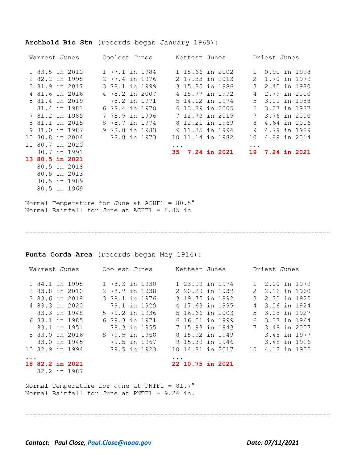#### **Archbold Bio Stn** (records began January 1969):

| Warmest Junes |                 |  | Coolest Junes |                |  |  | Wettest Junes |  |  |  |                  | Driest Junes |           |                 |  |  |  |
|---------------|-----------------|--|---------------|----------------|--|--|---------------|--|--|--|------------------|--------------|-----------|-----------------|--|--|--|
|               | 1 83.5 in 2010  |  |               | 1 77.1 in 1984 |  |  |               |  |  |  | 1 18.66 in 2002  |              |           | 0.90 in 1998    |  |  |  |
|               | 2 82.2 in 1998  |  |               | 2 77.4 in 1976 |  |  |               |  |  |  | 2 17.33 in 2013  |              | 2         | 1.70 in 1979    |  |  |  |
|               | 3 81.9 in 2017  |  |               | 3 78.1 in 1999 |  |  |               |  |  |  | 3 15.85 in 1986  |              | 3         | 2.40 in 1980    |  |  |  |
|               | 4 81.6 in 2016  |  |               | 4 78.2 in 2007 |  |  |               |  |  |  | 4 15.77 in 1992  |              | 4         | 2.79 in 2010    |  |  |  |
|               | 5 81.4 in 2019  |  |               | 78.2 in 1971   |  |  |               |  |  |  | 5 14.12 in 1974  |              | .5        | 3.01 in 1988    |  |  |  |
|               | 81.4 in 1981    |  |               | 6 78.4 in 1970 |  |  |               |  |  |  | 6 13.89 in 2005  |              | 6         | 3.27 in 1987    |  |  |  |
|               | 7 81.2 in 1985  |  |               | 7 78.5 in 1996 |  |  |               |  |  |  | 7 12.73 in 2015  |              | 7         | 3.76 in 2000    |  |  |  |
|               | 8 81.1 in 2015  |  |               | 8 78.7 in 1974 |  |  |               |  |  |  | 8 12.21 in 1969  |              | 8         | 4.64 in 2006    |  |  |  |
|               | 9 81.0 in 1987  |  |               | 9 78.8 in 1983 |  |  |               |  |  |  | 9 11.35 in 1994  |              | 9         | 4.79 in 1989    |  |  |  |
|               | 10 80.8 in 2004 |  |               | 78.8 in 1973   |  |  |               |  |  |  | 10 11.14 in 1982 |              | 10        | 4.89 in 2014    |  |  |  |
|               | 11 80.7 in 2020 |  |               |                |  |  | $\ddotsc$     |  |  |  |                  |              | $\ddotsc$ |                 |  |  |  |
|               | 80.7 in 1991    |  |               |                |  |  |               |  |  |  | 35 7.24 in 2021  |              |           | 19 7.24 in 2021 |  |  |  |
|               | 13 80.5 in 2021 |  |               |                |  |  |               |  |  |  |                  |              |           |                 |  |  |  |
|               | 80.5 in 2018    |  |               |                |  |  |               |  |  |  |                  |              |           |                 |  |  |  |

Normal Temperature for June at ACHF1 = 80.5° Normal Rainfall for June at ACHF1 = 8.85 in

 80.5 in 2013 80.5 in 1989 80.5 in 1969

-------------------------------------------------------------------------------

**Punta Gorda Area** (records began May 1914):

| Warmest Junes |                                        | Coolest Junes |                |  |  | Wettest Junes |                  |  |  | Driest Junes |                |  |              |  |
|---------------|----------------------------------------|---------------|----------------|--|--|---------------|------------------|--|--|--------------|----------------|--|--------------|--|
|               | 1 84.1 in 1998                         |               | 1 78.3 in 1930 |  |  |               | 1 23.99 in 1974  |  |  |              | 1 2.00 in 1979 |  |              |  |
|               | 2 83.8 in 2010                         |               | 2 78.9 in 1938 |  |  |               | 2 20.29 in 1939  |  |  | 2            | 2.16 in 1960   |  |              |  |
|               | 3 83.6 in 2018                         |               | 3 79.1 in 1976 |  |  |               | 3 19.75 in 1992  |  |  | 3            | 2.30 in 1920   |  |              |  |
|               | 4 83.3 in 2020                         |               | 79.1 in 1929   |  |  |               | 4 17.63 in 1995  |  |  | 4            | 3.06 in 1924   |  |              |  |
|               | 83.3 in 1948                           |               | 5 79.2 in 1936 |  |  |               | 5 16.66 in 2003  |  |  |              | 5 3.08 in 1927 |  |              |  |
|               | 6 83.1 in 1985                         |               | 6 79.3 in 1971 |  |  |               | 6 16.51 in 1999  |  |  | 6            | 3.37 in 1964   |  |              |  |
|               | 83.1 in 1951                           |               | 79.3 in 1955   |  |  |               | 7 15.93 in 1943  |  |  |              | 7 3.48 in 2007 |  |              |  |
|               | 8 83.0 in 2016                         |               | 8 79.5 in 1968 |  |  |               | 8 15.92 in 1949  |  |  |              | 3.48 in 1977   |  |              |  |
|               | 83.0 in 1945                           |               | 79.5 in 1967   |  |  |               | 9 15.39 in 1946  |  |  |              |                |  | 3.48 in 1916 |  |
|               | 10 82.9 in 1994                        |               | 79.5 in 1923   |  |  |               | 10 14.81 in 2017 |  |  | 10           |                |  | 4.12 in 1952 |  |
| $\ddotsc$     |                                        |               |                |  |  | $\cdots$      |                  |  |  |              |                |  |              |  |
|               | <b>18 82.2 in 2021</b><br>82.2 in 1987 |               |                |  |  |               | 22 10.75 in 2021 |  |  |              |                |  |              |  |

-------------------------------------------------------------------------------

Normal Temperature for June at PNTF1 =  $81.7^\circ$ Normal Rainfall for June at PNTF1 = 9.24 in.